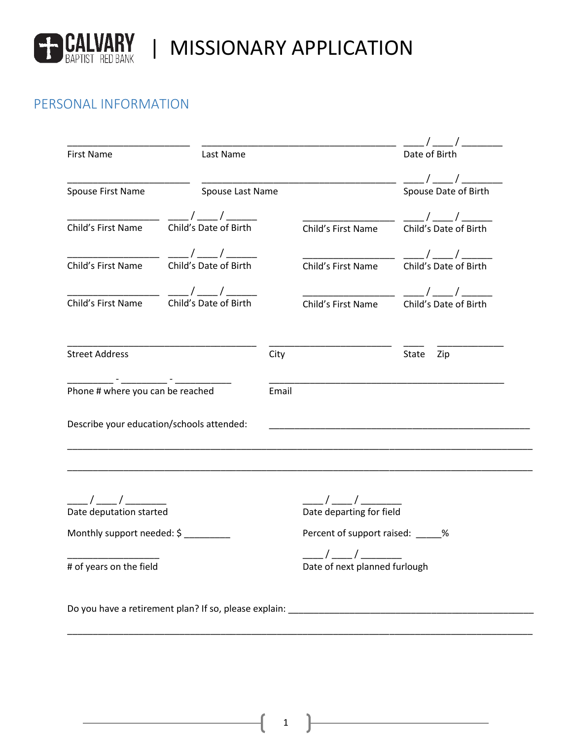

# **ED CALVARY | MISSIONARY APPLICATION**

## PERSONAL INFORMATION

|                                                  |                                                  |       |                                                           | $\frac{1}{2}$                                                    |  |
|--------------------------------------------------|--------------------------------------------------|-------|-----------------------------------------------------------|------------------------------------------------------------------|--|
| Last Name<br><b>First Name</b>                   |                                                  |       |                                                           | Date of Birth                                                    |  |
| Spouse First Name                                | Spouse Last Name                                 |       |                                                           | $\frac{1}{\sqrt{2}}$ / $\frac{1}{\sqrt{2}}$ Spouse Date of Birth |  |
| Child's First Name                               | Child's Date of Birth                            |       | Child's First Name                                        | $\frac{\frac{1}{2}}{2}$<br>Child's Date of Birth                 |  |
|                                                  |                                                  |       |                                                           |                                                                  |  |
| Child's First Name                               | $\frac{\frac{1}{2}}{2}$<br>Child's Date of Birth |       | Child's First Name                                        | Child's Date of Birth                                            |  |
|                                                  | Child's First Name Child's Date of Birth         |       | Child's First Name                                        | Child's Date of Birth                                            |  |
| <b>Street Address</b>                            |                                                  | City  |                                                           | State<br>Zip                                                     |  |
| Phone # where you can be reached                 |                                                  | Email |                                                           |                                                                  |  |
|                                                  |                                                  |       |                                                           |                                                                  |  |
|                                                  | Describe your education/schools attended:        |       |                                                           |                                                                  |  |
|                                                  |                                                  |       |                                                           |                                                                  |  |
| ____/ _____/ ________<br>Date deputation started |                                                  |       | ____/ ____/ ______<br>Date departing for field            |                                                                  |  |
| Monthly support needed: \$                       |                                                  |       | Percent of support raised: _____%<br>$\frac{1}{\sqrt{2}}$ |                                                                  |  |

1

\_\_\_\_\_\_\_\_\_\_\_\_\_\_\_\_\_\_\_\_\_\_\_\_\_\_\_\_\_\_\_\_\_\_\_\_\_\_\_\_\_\_\_\_\_\_\_\_\_\_\_\_\_\_\_\_\_\_\_\_\_\_\_\_\_\_\_\_\_\_\_\_\_\_\_\_\_\_\_\_\_\_\_\_\_\_\_\_\_\_\_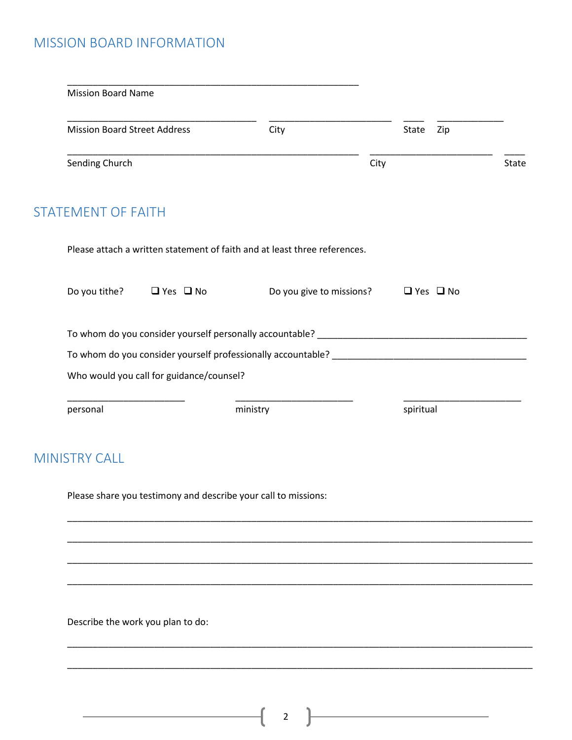## MISSION BOARD INFORMATION

| <b>Mission Board Name</b>           |                                          |                                                                           |                          |                      |              |
|-------------------------------------|------------------------------------------|---------------------------------------------------------------------------|--------------------------|----------------------|--------------|
| <b>Mission Board Street Address</b> |                                          | City                                                                      |                          | State<br>Zip         |              |
| Sending Church                      |                                          |                                                                           | City                     |                      | <b>State</b> |
| <b>STATEMENT OF FAITH</b>           |                                          |                                                                           |                          |                      |              |
|                                     |                                          | Please attach a written statement of faith and at least three references. |                          |                      |              |
|                                     | Do you tithe? $\Box$ Yes $\Box$ No       |                                                                           | Do you give to missions? | $\Box$ Yes $\Box$ No |              |
|                                     |                                          |                                                                           |                          |                      |              |
|                                     |                                          |                                                                           |                          |                      |              |
|                                     | Who would you call for guidance/counsel? |                                                                           |                          |                      |              |
| personal                            |                                          | ministry                                                                  |                          | spiritual            |              |
|                                     |                                          |                                                                           |                          |                      |              |
| <b>MINISTRY CALL</b>                |                                          |                                                                           |                          |                      |              |
|                                     |                                          | Please share you testimony and describe your call to missions:            |                          |                      |              |
|                                     |                                          |                                                                           |                          |                      |              |
|                                     |                                          |                                                                           |                          |                      |              |

 $\begin{pmatrix} 2 \end{pmatrix}$ 

\_\_\_\_\_\_\_\_\_\_\_\_\_\_\_\_\_\_\_\_\_\_\_\_\_\_\_\_\_\_\_\_\_\_\_\_\_\_\_\_\_\_\_\_\_\_\_\_\_\_\_\_\_\_\_\_\_\_\_\_\_\_\_\_\_\_\_\_\_\_\_\_\_\_\_\_\_\_\_\_\_\_\_\_\_\_\_\_\_\_\_

\_\_\_\_\_\_\_\_\_\_\_\_\_\_\_\_\_\_\_\_\_\_\_\_\_\_\_\_\_\_\_\_\_\_\_\_\_\_\_\_\_\_\_\_\_\_\_\_\_\_\_\_\_\_\_\_\_\_\_\_\_\_\_\_\_\_\_\_\_\_\_\_\_\_\_\_\_\_\_\_\_\_\_\_\_\_\_\_\_\_\_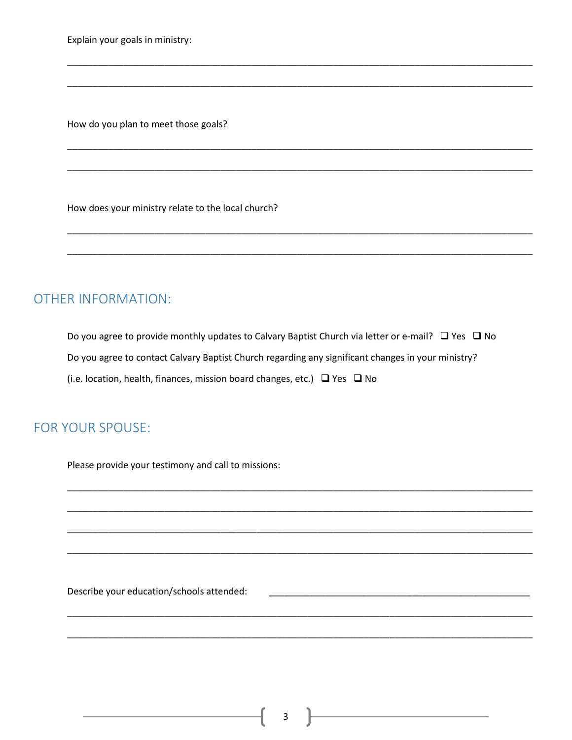Explain your goals in ministry:

How do you plan to meet those goals?

How does your ministry relate to the local church?

### **OTHER INFORMATION:**

Do you agree to provide monthly updates to Calvary Baptist Church via letter or e-mail?  $\Box$  Yes  $\Box$  No Do you agree to contact Calvary Baptist Church regarding any significant changes in your ministry? (i.e. location, health, finances, mission board changes, etc.) □ Yes □ No

#### **FOR YOUR SPOUSE:**

Please provide your testimony and call to missions:

Describe your education/schools attended: